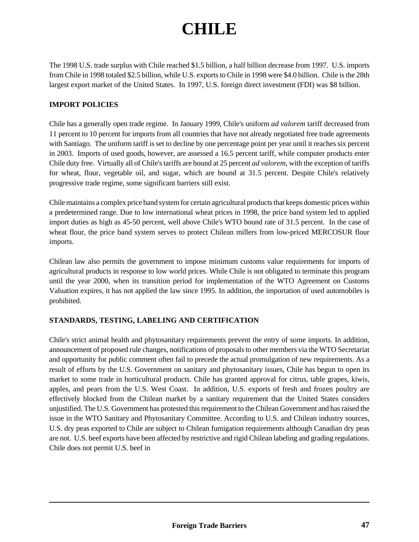# **CHILE**

The 1998 U.S. trade surplus with Chile reached \$1.5 billion, a half billion decrease from 1997. U.S. imports from Chile in 1998 totaled \$2.5 billion, while U.S. exports to Chile in 1998 were \$4.0 billion. Chile is the 28th largest export market of the United States. In 1997, U.S. foreign direct investment (FDI) was \$8 billion.

## **IMPORT POLICIES**

Chile has a generally open trade regime. In January 1999, Chile's uniform *ad valorem* tariff decreased from 11 percent to 10 percent for imports from all countries that have not already negotiated free trade agreements with Santiago. The uniform tariff is set to decline by one percentage point per year until it reaches six percent in 2003. Imports of used goods, however, are assessed a 16.5 percent tariff, while computer products enter Chile duty free. Virtually all of Chile's tariffs are bound at 25 percent *ad valorem*, with the exception of tariffs for wheat, flour, vegetable oil, and sugar, which are bound at 31.5 percent. Despite Chile's relatively progressive trade regime, some significant barriers still exist.

Chile maintains a complex price band system for certain agricultural products that keeps domestic prices within a predetermined range. Due to low international wheat prices in 1998, the price band system led to applied import duties as high as 45-50 percent, well above Chile's WTO bound rate of 31.5 percent. In the case of wheat flour, the price band system serves to protect Chilean millers from low-priced MERCOSUR flour imports.

Chilean law also permits the government to impose minimum customs value requirements for imports of agricultural products in response to low world prices. While Chile is not obligated to terminate this program until the year 2000, when its transition period for implementation of the WTO Agreement on Customs Valuation expires, it has not applied the law since 1995. In addition, the importation of used automobiles is prohibited.

## **STANDARDS, TESTING, LABELING AND CERTIFICATION**

Chile's strict animal health and phytosanitary requirements prevent the entry of some imports. In addition, announcement of proposed rule changes, notifications of proposals to other members via the WTO Secretariat and opportunity for public comment often fail to precede the actual promulgation of new requirements. As a result of efforts by the U.S. Government on sanitary and phytosanitary issues, Chile has begun to open its market to some trade in horticultural products. Chile has granted approval for citrus, table grapes, kiwis, apples, and pears from the U.S. West Coast. In addition, U.S. exports of fresh and frozen poultry are effectively blocked from the Chilean market by a sanitary requirement that the United States considers unjustified. The U.S. Government has protested this requirement to the Chilean Government and has raised the issue in the WTO Sanitary and Phytosanitary Committee. According to U.S. and Chilean industry sources, U.S. dry peas exported to Chile are subject to Chilean fumigation requirements although Canadian dry peas are not. U.S. beef exports have been affected by restrictive and rigid Chilean labeling and grading regulations. Chile does not permit U.S. beef in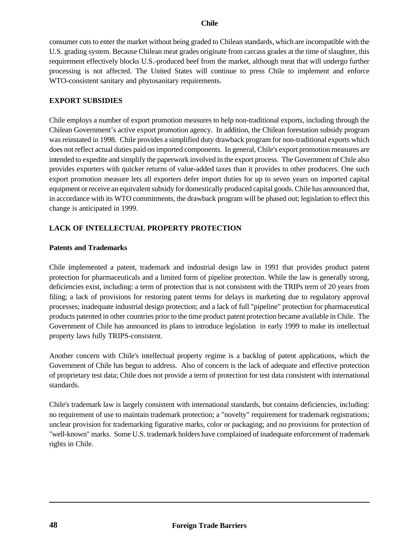## **Chile**

consumer cuts to enter the market without being graded to Chilean standards, which are incompatible with the U.S. grading system. Because Chilean meat grades originate from carcass grades at the time of slaughter, this requirement effectively blocks U.S.-produced beef from the market, although meat that will undergo further processing is not affected. The United States will continue to press Chile to implement and enforce WTO-consistent sanitary and phytosanitary requirements.

#### **EXPORT SUBSIDIES**

Chile employs a number of export promotion measures to help non-traditional exports, including through the Chilean Government's active export promotion agency. In addition, the Chilean forestation subsidy program was reinstated in 1998. Chile provides a simplified duty drawback program for non-traditional exports which does not reflect actual duties paid on imported components. In general, Chile's export promotion measures are intended to expedite and simplify the paperwork involved in the export process. The Government of Chile also provides exporters with quicker returns of value-added taxes than it provides to other producers. One such export promotion measure lets all exporters defer import duties for up to seven years on imported capital equipment or receive an equivalent subsidy for domestically produced capital goods. Chile has announced that, in accordance with its WTO commitments, the drawback program will be phased out; legislation to effect this change is anticipated in 1999.

## **LACK OF INTELLECTUAL PROPERTY PROTECTION**

#### **Patents and Trademarks**

Chile implemented a patent, trademark and industrial design law in 1991 that provides product patent protection for pharmaceuticals and a limited form of pipeline protection. While the law is generally strong, deficiencies exist, including: a term of protection that is not consistent with the TRIPs term of 20 years from filing; a lack of provisions for restoring patent terms for delays in marketing due to regulatory approval processes; inadequate industrial design protection; and a lack of full "pipeline" protection for pharmaceutical products patented in other countries prior to the time product patent protection became available in Chile. The Government of Chile has announced its plans to introduce legislation in early 1999 to make its intellectual property laws fully TRIPS-consistent.

Another concern with Chile's intellectual property regime is a backlog of patent applications, which the Government of Chile has begun to address. Also of concern is the lack of adequate and effective protection of proprietary test data; Chile does not provide a term of protection for test data consistent with international standards.

Chile's trademark law is largely consistent with international standards, but contains deficiencies, including: no requirement of use to maintain trademark protection; a "novelty" requirement for trademark registrations; unclear provision for trademarking figurative marks, color or packaging; and no provisions for protection of "well-known" marks. Some U.S. trademark holders have complained of inadequate enforcement of trademark rights in Chile.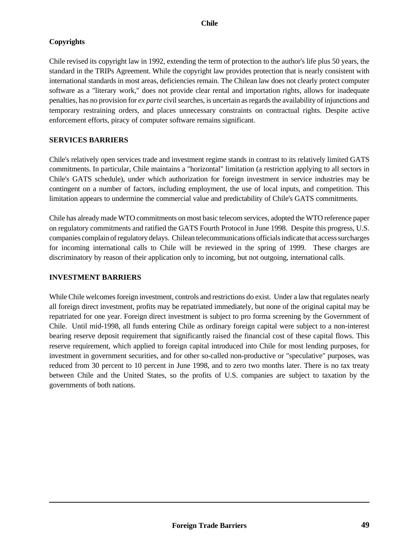# **Copyrights**

Chile revised its copyright law in 1992, extending the term of protection to the author's life plus 50 years, the standard in the TRIPs Agreement. While the copyright law provides protection that is nearly consistent with international standards in most areas, deficiencies remain. The Chilean law does not clearly protect computer software as a "literary work," does not provide clear rental and importation rights, allows for inadequate penalties, has no provision for *ex parte* civil searches, is uncertain as regards the availability of injunctions and temporary restraining orders, and places unnecessary constraints on contractual rights. Despite active enforcement efforts, piracy of computer software remains significant.

## **SERVICES BARRIERS**

Chile's relatively open services trade and investment regime stands in contrast to its relatively limited GATS commitments. In particular, Chile maintains a "horizontal" limitation (a restriction applying to all sectors in Chile's GATS schedule), under which authorization for foreign investment in service industries may be contingent on a number of factors, including employment, the use of local inputs, and competition. This limitation appears to undermine the commercial value and predictability of Chile's GATS commitments.

Chile has already made WTO commitments on most basic telecom services, adopted the WTO reference paper on regulatory commitments and ratified the GATS Fourth Protocol in June 1998. Despite this progress, U.S. companies complain of regulatory delays. Chilean telecommunications officials indicate that access surcharges for incoming international calls to Chile will be reviewed in the spring of 1999. These charges are discriminatory by reason of their application only to incoming, but not outgoing, international calls.

## **INVESTMENT BARRIERS**

While Chile welcomes foreign investment, controls and restrictions do exist. Under a law that regulates nearly all foreign direct investment, profits may be repatriated immediately, but none of the original capital may be repatriated for one year. Foreign direct investment is subject to pro forma screening by the Government of Chile. Until mid-1998, all funds entering Chile as ordinary foreign capital were subject to a non-interest bearing reserve deposit requirement that significantly raised the financial cost of these capital flows. This reserve requirement, which applied to foreign capital introduced into Chile for most lending purposes, for investment in government securities, and for other so-called non-productive or "speculative" purposes, was reduced from 30 percent to 10 percent in June 1998, and to zero two months later. There is no tax treaty between Chile and the United States, so the profits of U.S. companies are subject to taxation by the governments of both nations.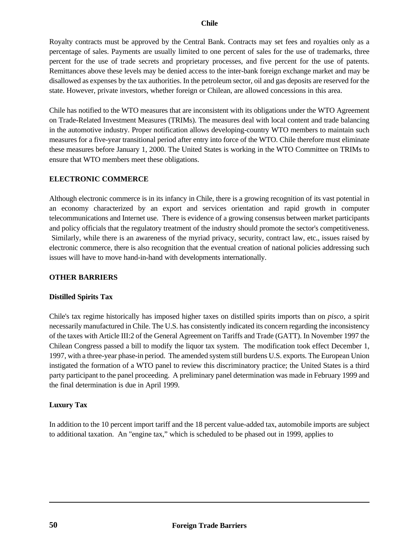## **Chile**

Royalty contracts must be approved by the Central Bank. Contracts may set fees and royalties only as a percentage of sales. Payments are usually limited to one percent of sales for the use of trademarks, three percent for the use of trade secrets and proprietary processes, and five percent for the use of patents. Remittances above these levels may be denied access to the inter-bank foreign exchange market and may be disallowed as expenses by the tax authorities. In the petroleum sector, oil and gas deposits are reserved for the state. However, private investors, whether foreign or Chilean, are allowed concessions in this area.

Chile has notified to the WTO measures that are inconsistent with its obligations under the WTO Agreement on Trade-Related Investment Measures (TRIMs). The measures deal with local content and trade balancing in the automotive industry. Proper notification allows developing-country WTO members to maintain such measures for a five-year transitional period after entry into force of the WTO. Chile therefore must eliminate these measures before January 1, 2000. The United States is working in the WTO Committee on TRIMs to ensure that WTO members meet these obligations.

## **ELECTRONIC COMMERCE**

Although electronic commerce is in its infancy in Chile, there is a growing recognition of its vast potential in an economy characterized by an export and services orientation and rapid growth in computer telecommunications and Internet use. There is evidence of a growing consensus between market participants and policy officials that the regulatory treatment of the industry should promote the sector's competitiveness. Similarly, while there is an awareness of the myriad privacy, security, contract law, etc., issues raised by electronic commerce, there is also recognition that the eventual creation of national policies addressing such issues will have to move hand-in-hand with developments internationally.

## **OTHER BARRIERS**

## **Distilled Spirits Tax**

Chile's tax regime historically has imposed higher taxes on distilled spirits imports than on *pisco*, a spirit necessarily manufactured in Chile. The U.S. has consistently indicated its concern regarding the inconsistency of the taxes with Article III:2 of the General Agreement on Tariffs and Trade (GATT). In November 1997 the Chilean Congress passed a bill to modify the liquor tax system. The modification took effect December 1, 1997, with a three-year phase-in period. The amended system still burdens U.S. exports. The European Union instigated the formation of a WTO panel to review this discriminatory practice; the United States is a third party participant to the panel proceeding. A preliminary panel determination was made in February 1999 and the final determination is due in April 1999.

## **Luxury Tax**

In addition to the 10 percent import tariff and the 18 percent value-added tax, automobile imports are subject to additional taxation. An "engine tax," which is scheduled to be phased out in 1999, applies to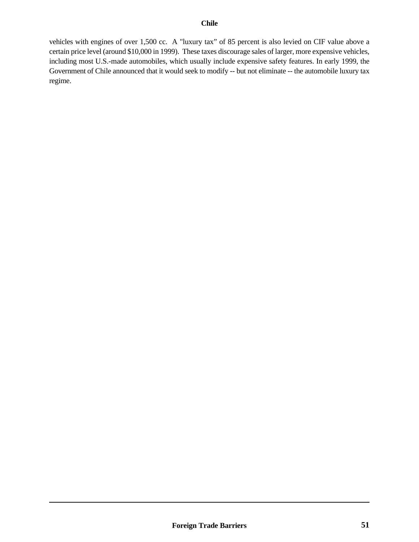vehicles with engines of over 1,500 cc. A "luxury tax" of 85 percent is also levied on CIF value above a certain price level (around \$10,000 in 1999). These taxes discourage sales of larger, more expensive vehicles, including most U.S.-made automobiles, which usually include expensive safety features. In early 1999, the Government of Chile announced that it would seek to modify -- but not eliminate -- the automobile luxury tax regime.